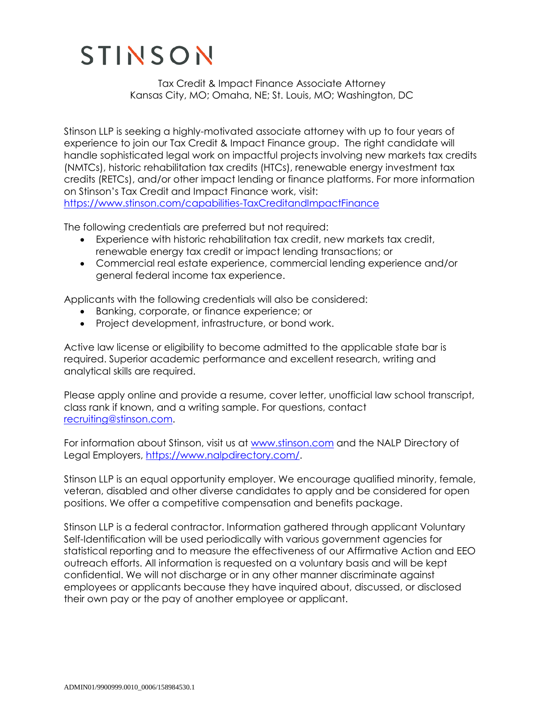## STINSON

Tax Credit & Impact Finance Associate Attorney Kansas City, MO; Omaha, NE; St. Louis, MO; Washington, DC

Stinson LLP is seeking a highly-motivated associate attorney with up to four years of experience to join our Tax Credit & Impact Finance group. The right candidate will handle sophisticated legal work on impactful projects involving new markets tax credits (NMTCs), historic rehabilitation tax credits (HTCs), renewable energy investment tax credits (RETCs), and/or other impact lending or finance platforms. For more information on Stinson's Tax Credit and Impact Finance work, visit: <https://www.stinson.com/capabilities-TaxCreditandImpactFinance>

The following credentials are preferred but not required:

- Experience with historic rehabilitation tax credit, new markets tax credit, renewable energy tax credit or impact lending transactions; or
- Commercial real estate experience, commercial lending experience and/or general federal income tax experience.

Applicants with the following credentials will also be considered:

- Banking, corporate, or finance experience; or
- Project development, infrastructure, or bond work.

Active law license or eligibility to become admitted to the applicable state bar is required. Superior academic performance and excellent research, writing and analytical skills are required.

Please apply online and provide a resume, cover letter, unofficial law school transcript, class rank if known, and a writing sample. For questions, contact [recruiting@stinson.com.](mailto:recruiting@stinson.com)

For information about Stinson, visit us at [www.stinson.com](http://www.stinson.com/) and the NALP Directory of Legal Employers, [https://www.nalpdirectory.com/.](https://www.nalpdirectory.com/)

Stinson LLP is an equal opportunity employer. We encourage qualified minority, female, veteran, disabled and other diverse candidates to apply and be considered for open positions. We offer a competitive compensation and benefits package.

Stinson LLP is a federal contractor. Information gathered through applicant Voluntary Self-Identification will be used periodically with various government agencies for statistical reporting and to measure the effectiveness of our Affirmative Action and EEO outreach efforts. All information is requested on a voluntary basis and will be kept confidential. We will not discharge or in any other manner discriminate against employees or applicants because they have inquired about, discussed, or disclosed their own pay or the pay of another employee or applicant.